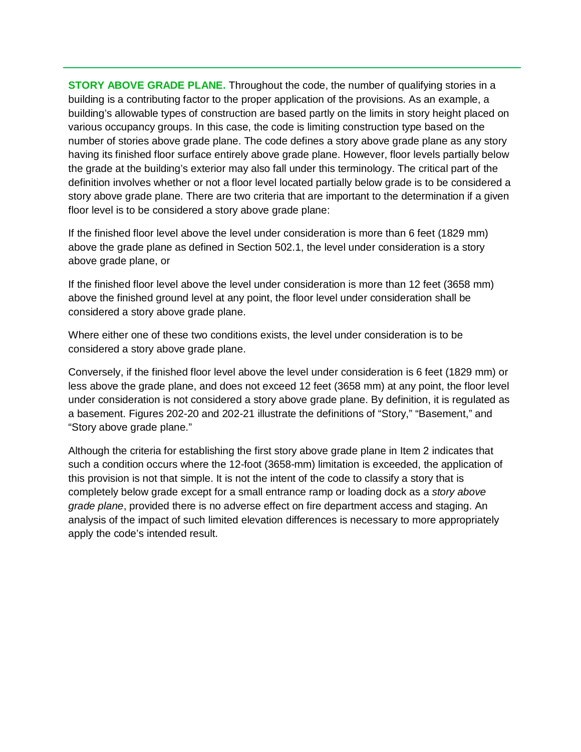**STORY ABOVE GRADE PLANE.** Throughout the code, the number of qualifying stories in a building is a contributing factor to the proper application of the provisions. As an example, a building's allowable types of construction are based partly on the limits in story height placed on various occupancy groups. In this case, the code is limiting construction type based on the number of stories above grade plane. The code defines a story above grade plane as any story having its finished floor surface entirely above grade plane. However, floor levels partially below the grade at the building's exterior may also fall under this terminology. The critical part of the definition involves whether or not a floor level located partially below grade is to be considered a story above grade plane. There are two criteria that are important to the determination if a given floor level is to be considered a story above grade plane:

If the finished floor level above the level under consideration is more than 6 feet (1829 mm) above the grade plane as defined in Section 502.1, the level under consideration is a story above grade plane, or

If the finished floor level above the level under consideration is more than 12 feet (3658 mm) above the finished ground level at any point, the floor level under consideration shall be considered a story above grade plane.

Where either one of these two conditions exists, the level under consideration is to be considered a story above grade plane.

Conversely, if the finished floor level above the level under consideration is 6 feet (1829 mm) or less above the grade plane, and does not exceed 12 feet (3658 mm) at any point, the floor level under consideration is not considered a story above grade plane. By definition, it is regulated as a basement. Figures 202-20 and 202-21 illustrate the definitions of "Story," "Basement," and "Story above grade plane."

Although the criteria for establishing the first story above grade plane in Item 2 indicates that such a condition occurs where the 12-foot (3658-mm) limitation is exceeded, the application of this provision is not that simple. It is not the intent of the code to classify a story that is completely below grade except for a small entrance ramp or loading dock as a *story above grade plane*, provided there is no adverse effect on fire department access and staging. An analysis of the impact of such limited elevation differences is necessary to more appropriately apply the code's intended result.